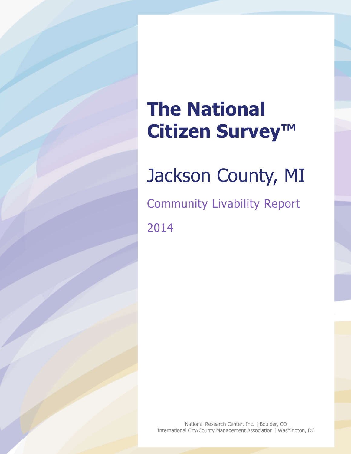# **The National Citizen Survey™**

# Jackson County, MI

Community Livability Report 2014

National Research Center, Inc. | Boulder, CO International City/County Management Association | Washington, DC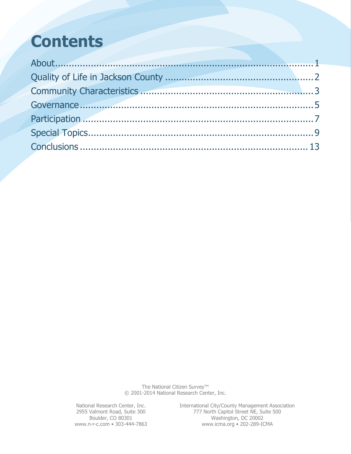# **Contents**

The National Citizen Survey™ © 2001-2014 National Research Center, Inc.

National Research Center, Inc. International City/County Management Association 2955 Valmont Road, Suite 300 777 North Capitol Street NE, Suite 500 Boulder, CO 80301 Washington, DC 20002 www.n-r-c.com • 303-444-7863 www.icma.org • 202-289-ICMA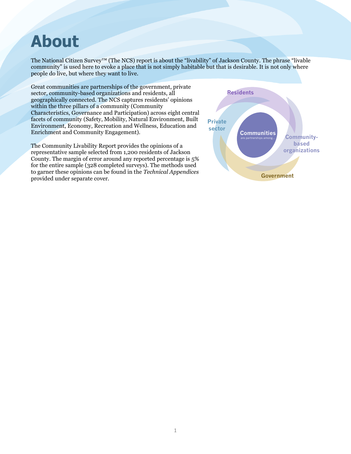## <span id="page-2-0"></span>**About**

The National Citizen Survey™ (The NCS) report is about the "livability" of Jackson County. The phrase "livable community" is used here to evoke a place that is not simply habitable but that is desirable. It is not only where people do live, but where they want to live.

Great communities are partnerships of the government, private sector, community-based organizations and residents, all geographically connected. The NCS captures residents' opinions within the three pillars of a community (Community Characteristics, Governance and Participation) across eight central facets of community (Safety, Mobility, Natural Environment, Built Environment, Economy, Recreation and Wellness, Education and Enrichment and Community Engagement).

The Community Livability Report provides the opinions of a representative sample selected from 1,200 residents of Jackson County. The margin of error around any reported percentage is 5% for the entire sample (328 completed surveys). The methods used to garner these opinions can be found in the *Technical Appendices* provided under separate cover.

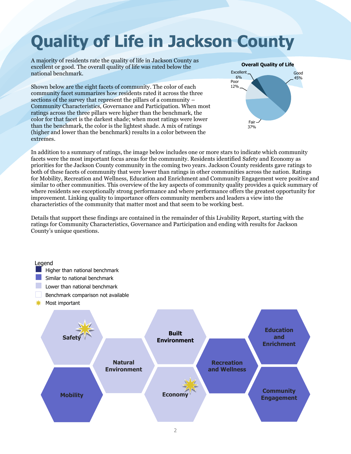# <span id="page-3-0"></span>**Quality of Life in Jackson County**

A majority of residents rate the quality of life in Jackson County as excellent or good. The overall quality of life was rated below the national benchmark.

Shown below are the eight facets of community. The color of each community facet summarizes how residents rated it across the three sections of the survey that represent the pillars of a community – Community Characteristics, Governance and Participation. When most ratings across the three pillars were higher than the benchmark, the color for that facet is the darkest shade; when most ratings were lower than the benchmark, the color is the lightest shade. A mix of ratings (higher and lower than the benchmark) results in a color between the extremes.



In addition to a summary of ratings, the image below includes one or more stars to indicate which community facets were the most important focus areas for the community. Residents identified Safety and Economy as priorities for the Jackson County community in the coming two years. Jackson County residents gave ratings to both of these facets of community that were lower than ratings in other communities across the nation. Ratings for Mobility, Recreation and Wellness, Education and Enrichment and Community Engagement were positive and similar to other communities. This overview of the key aspects of community quality provides a quick summary of where residents see exceptionally strong performance and where performance offers the greatest opportunity for improvement. Linking quality to importance offers community members and leaders a view into the characteristics of the community that matter most and that seem to be working best.

Details that support these findings are contained in the remainder of this Livability Report, starting with the ratings for Community Characteristics, Governance and Participation and ending with results for Jackson County's unique questions.

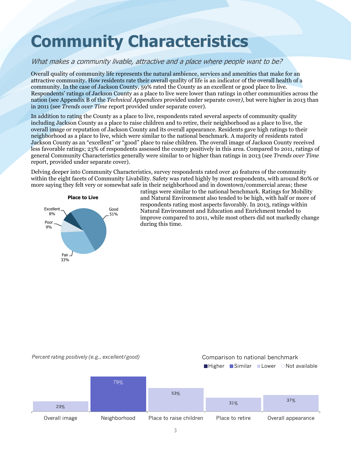# <span id="page-4-0"></span>**Community Characteristics**

### What makes a community livable, attractive and a place where people want to be?

Overall quality of community life represents the natural ambience, services and amenities that make for an attractive community. How residents rate their overall quality of life is an indicator of the overall health of a community. In the case of Jackson County, 59% rated the County as an excellent or good place to live. Respondents' ratings of Jackson County as a place to live were lower than ratings in other communities across the nation (see Appendix B of the *Technical Appendices* provided under separate cover*)*, but were higher in 2013 than in 2011 (see *Trends over Time* report provided under separate cover).

In addition to rating the County as a place to live, respondents rated several aspects of community quality including Jackson County as a place to raise children and to retire, their neighborhood as a place to live, the overall image or reputation of Jackson County and its overall appearance. Residents gave high ratings to their neighborhood as a place to live, which were similar to the national benchmark. A majority of residents rated Jackson County as an "excellent" or "good" place to raise children. The overall image of Jackson County received less favorable ratings; 23% of respondents assessed the county positively in this area. Compared to 2011, ratings of general Community Characteristics generally were similar to or higher than ratings in 2013 (see *Trends over Time* report, provided under separate cover).

Delving deeper into Community Characteristics, survey respondents rated over 40 features of the community within the eight facets of Community Livability. Safety was rated highly by most respondents, with around 80% or more saying they felt very or somewhat safe in their neighborhood and in downtown/commercial areas; these



ratings were similar to the national benchmark. Ratings for Mobility and Natural Environment also tended to be high, with half or more of respondents rating most aspects favorably. In 2013, ratings within Natural Environment and Education and Enrichment tended to improve compared to 2011, while most others did not markedly change during this time.

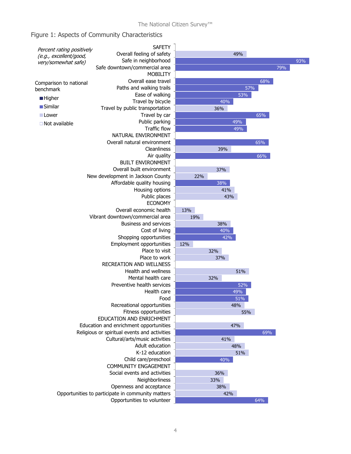### Figure 1: Aspects of Community Characteristics

| Percent rating positively | SAFETY                                            |                 |
|---------------------------|---------------------------------------------------|-----------------|
| (e.g., excellent/good,    | Overall feeling of safety                         |                 |
| very/somewhat safe)       | Safe in neighborhood                              |                 |
|                           | Safe downtown/commercial area                     |                 |
|                           | <b>MOBILITY</b>                                   |                 |
| Comparison to national    | Overall ease travel                               |                 |
| benchmark                 | Paths and walking trails                          |                 |
|                           | Ease of walking                                   |                 |
| $\blacksquare$ Higher     | Travel by bicycle                                 |                 |
| ■Similar                  | Travel by public transportation                   |                 |
| ■ Lower                   | Travel by car                                     |                 |
| $\Box$ Not available      | Public parking                                    |                 |
|                           | <b>Traffic flow</b>                               |                 |
|                           | NATURAL ENVIRONMENT                               |                 |
|                           | Overall natural environment                       |                 |
|                           | Cleanliness                                       |                 |
|                           | Air quality                                       |                 |
|                           | <b>BUILT ENVIRONMENT</b>                          |                 |
|                           | Overall built environment                         |                 |
|                           | New development in Jackson County                 |                 |
|                           | Affordable quality housing                        |                 |
|                           | Housing options                                   |                 |
|                           | Public places                                     |                 |
|                           | <b>ECONOMY</b>                                    |                 |
|                           | Overall economic health                           | 13 <sup>0</sup> |
|                           | Vibrant downtown/commercial area                  |                 |
|                           | <b>Business and services</b>                      |                 |
|                           | Cost of living                                    |                 |
|                           | Shopping opportunities                            |                 |
|                           | Employment opportunities                          | 12%             |
|                           | Place to visit                                    |                 |
|                           | Place to work                                     |                 |
|                           | <b>RECREATION AND WELLNESS</b>                    |                 |
|                           | Health and wellness                               |                 |
|                           | Mental health care                                |                 |
|                           | Preventive health services                        |                 |
|                           | Health care                                       |                 |
|                           | Food                                              |                 |
|                           | Recreational opportunities                        |                 |
|                           | Fitness opportunities                             |                 |
|                           | EDUCATION AND ENRICHMENT                          |                 |
|                           | Education and enrichment opportunities            |                 |
|                           | Religious or spiritual events and activities      |                 |
|                           | Cultural/arts/music activities                    |                 |
|                           | Adult education                                   |                 |
|                           | K-12 education                                    |                 |
|                           | Child care/preschool                              |                 |
|                           | <b>COMMUNITY ENGAGEMENT</b>                       |                 |
|                           | Social events and activities                      |                 |
|                           | Neighborliness                                    |                 |
|                           | Openness and acceptance                           |                 |
|                           | Opportunities to participate in community matters |                 |
|                           | Opportunities to volunteer                        |                 |

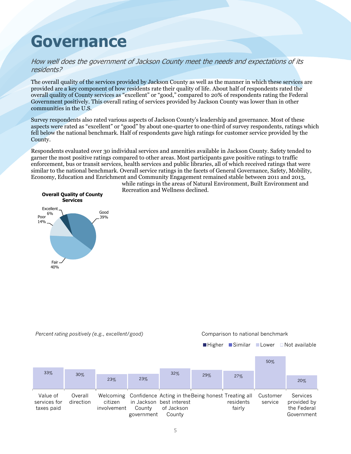## <span id="page-6-0"></span>**Governance**

### How well does the government of Jackson County meet the needs and expectations of its residents?

The overall quality of the services provided by Jackson County as well as the manner in which these services are provided are a key component of how residents rate their quality of life. About half of respondents rated the overall quality of County services as "excellent" or "good," compared to 20% of respondents rating the Federal Government positively. This overall rating of services provided by Jackson County was lower than in other communities in the U.S.

Survey respondents also rated various aspects of Jackson County's leadership and governance. Most of these aspects were rated as "excellent" or "good" by about one-quarter to one-third of survey respondents, ratings which fell below the national benchmark. Half of respondents gave high ratings for customer service provided by the County.

Respondents evaluated over 30 individual services and amenities available in Jackson County. Safety tended to garner the most positive ratings compared to other areas. Most participants gave positive ratings to traffic enforcement, bus or transit services, health services and public libraries, all of which received ratings that were similar to the national benchmark. Overall service ratings in the facets of General Governance, Safety, Mobility, Economy, Education and Enrichment and Community Engagement remained stable between 2011 and 2013,



while ratings in the areas of Natural Environment, Built Environment and Recreation and Wellness declined.

|  |  | Percent rating positively (e.g., excellent/good) |  |
|--|--|--------------------------------------------------|--|
|  |  |                                                  |  |
|  |  |                                                  |  |

#### *Percent rating positively (e.g., excellent/good)* Comparison to national benchmark

 $\blacksquare$  Higher  $\blacksquare$  Similar  $\blacksquare$  Lower  $\Box$  Not available

|                                        |                      |                        |                      |                                                                                                                  |     |                     | 50%                 |                                                             |
|----------------------------------------|----------------------|------------------------|----------------------|------------------------------------------------------------------------------------------------------------------|-----|---------------------|---------------------|-------------------------------------------------------------|
| 33%                                    | 30%                  | 23%                    | 23%                  | 32%                                                                                                              | 29% | 27%                 |                     | 20%                                                         |
| Value of<br>services for<br>taxes paid | Overall<br>direction | citizen<br>involvement | County<br>government | Welcoming Confidence Acting in the Being honest Treating all<br>in Jackson best interest<br>of Jackson<br>County |     | residents<br>fairly | Customer<br>service | <b>Services</b><br>provided by<br>the Federal<br>Government |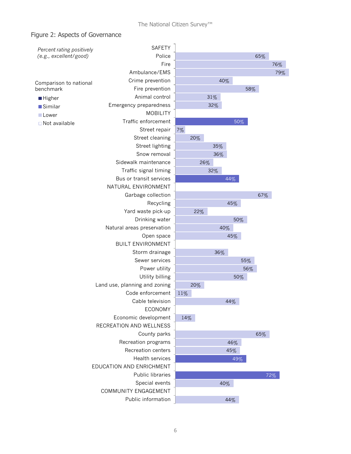### Figure 2: Aspects of Governance

| Percent rating positively | <b>SAFETY</b>                 |     |     |     |     |     |     |     |
|---------------------------|-------------------------------|-----|-----|-----|-----|-----|-----|-----|
| (e.g., excellent/good)    | Police                        |     |     |     |     |     | 65% |     |
|                           | Fire                          |     |     |     |     |     |     | 76% |
|                           | Ambulance/EMS                 |     |     |     |     |     |     | 79% |
| Comparison to national    | Crime prevention              |     |     | 40% |     |     |     |     |
| benchmark                 | Fire prevention               |     |     |     |     | 58% |     |     |
| <b>Higher</b>             | Animal control                |     |     | 31% |     |     |     |     |
| <b>Similar</b>            | Emergency preparedness        |     |     | 32% |     |     |     |     |
| Lower                     | <b>MOBILITY</b>               |     |     |     |     |     |     |     |
| $\Box$ Not available      | Traffic enforcement           |     |     |     | 50% |     |     |     |
|                           | Street repair                 | 7%  |     |     |     |     |     |     |
|                           | Street cleaning               |     | 20% |     |     |     |     |     |
|                           | Street lighting               |     |     | 35% |     |     |     |     |
|                           | Snow removal                  |     |     | 36% |     |     |     |     |
|                           | Sidewalk maintenance          |     | 26% |     |     |     |     |     |
|                           | Traffic signal timing         |     |     | 32% |     |     |     |     |
|                           | Bus or transit services       |     |     |     | 44% |     |     |     |
|                           | NATURAL ENVIRONMENT           |     |     |     |     |     |     |     |
|                           | Garbage collection            |     |     |     |     |     | 67% |     |
|                           | Recycling                     |     |     |     | 45% |     |     |     |
|                           | Yard waste pick-up            |     | 22% |     |     |     |     |     |
|                           | Drinking water                |     |     |     | 50% |     |     |     |
|                           | Natural areas preservation    |     |     | 40% |     |     |     |     |
|                           | Open space                    |     |     |     | 45% |     |     |     |
|                           | <b>BUILT ENVIRONMENT</b>      |     |     |     |     |     |     |     |
|                           | Storm drainage                |     |     | 36% |     |     |     |     |
|                           | Sewer services                |     |     |     |     | 55% |     |     |
|                           | Power utility                 |     |     |     |     | 56% |     |     |
|                           | Utility billing               |     |     |     | 50% |     |     |     |
|                           | Land use, planning and zoning |     | 20% |     |     |     |     |     |
|                           | Code enforcement              | 11% |     |     |     |     |     |     |
|                           | Cable television              |     |     |     | 44% |     |     |     |
|                           | <b>ECONOMY</b>                |     |     |     |     |     |     |     |
|                           | Economic development          | 14% |     |     |     |     |     |     |
|                           | RECREATION AND WELLNESS       |     |     |     |     |     |     |     |
|                           | County parks                  |     |     |     |     |     | 65% |     |
|                           | Recreation programs           |     |     |     | 46% |     |     |     |
|                           | Recreation centers            |     |     |     | 45% |     |     |     |
|                           | <b>Health services</b>        |     |     |     | 49% |     |     |     |
|                           | EDUCATION AND ENRICHMENT      |     |     |     |     |     |     |     |
|                           | Public libraries              |     |     |     |     |     |     | 72% |
|                           | Special events                |     |     | 40% |     |     |     |     |
|                           | COMMUNITY ENGAGEMENT          |     |     |     |     |     |     |     |
|                           | Public information            |     |     |     | 44% |     |     |     |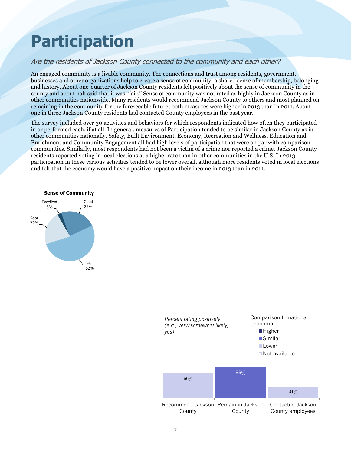# <span id="page-8-0"></span>**Participation**

### Are the residents of Jackson County connected to the community and each other?

An engaged community is a livable community. The connections and trust among residents, government, businesses and other organizations help to create a sense of community; a shared sense of membership, belonging and history. About one-quarter of Jackson County residents felt positively about the sense of community in the county and about half said that it was "fair." Sense of community was not rated as highly in Jackson County as in other communities nationwide. Many residents would recommend Jackson County to others and most planned on remaining in the community for the foreseeable future; both measures were higher in 2013 than in 2011. About one in three Jackson County residents had contacted County employees in the past year.

The survey included over 30 activities and behaviors for which respondents indicated how often they participated in or performed each, if at all. In general, measures of Participation tended to be similar in Jackson County as in other communities nationally. Safety, Built Environment, Economy, Recreation and Wellness, Education and Enrichment and Community Engagement all had high levels of participation that were on par with comparison communities. Similarly, most respondents had not been a victim of a crime nor reported a crime. Jackson County residents reported voting in local elections at a higher rate than in other communities in the U.S. In 2013 participation in these various activities tended to be lower overall, although more residents voted in local elections and felt that the economy would have a positive impact on their income in 2013 than in 2011.



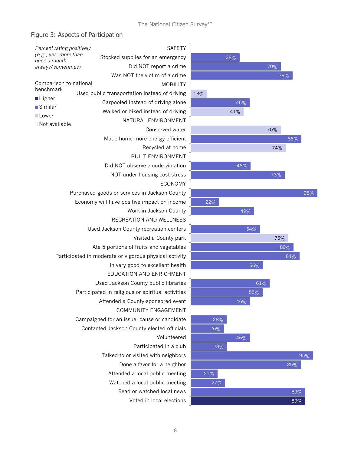$\overline{a}$ 

### Figure 3: Aspects of Participation

| Percent rating positively              | <b>SAFETY</b>                                          |     |
|----------------------------------------|--------------------------------------------------------|-----|
| (e.g., yes, more than<br>once a month, | Stocked supplies for an emergency                      |     |
| always/sometimes)                      | Did NOT report a crime                                 |     |
|                                        | Was NOT the victim of a crime                          |     |
| Comparison to national<br>benchmark    | <b>MOBILITY</b>                                        |     |
| ■ Higher                               | Used public transportation instead of driving          | 13% |
| ■Similar                               | Carpooled instead of driving alone                     |     |
| Lower                                  | Walked or biked instead of driving                     |     |
| $\Box$ Not available                   | NATURAL ENVIRONMENT                                    |     |
|                                        | Conserved water                                        |     |
|                                        | Made home more energy efficient                        |     |
|                                        | Recycled at home                                       |     |
|                                        | <b>BUILT ENVIRONMENT</b>                               |     |
|                                        | Did NOT observe a code violation                       |     |
|                                        | NOT under housing cost stress                          |     |
|                                        | <b>ECONOMY</b>                                         |     |
|                                        | Purchased goods or services in Jackson County          |     |
|                                        | Economy will have positive impact on income            |     |
|                                        | Work in Jackson County                                 |     |
|                                        | RECREATION AND WELLNESS                                |     |
|                                        | Used Jackson County recreation centers                 |     |
|                                        | Visited a County park                                  |     |
|                                        | Ate 5 portions of fruits and vegetables                |     |
|                                        | Participated in moderate or vigorous physical activity |     |
|                                        | In very good to excellent health                       |     |
|                                        | EDUCATION AND ENRICHMENT                               |     |
|                                        | Used Jackson County public libraries                   |     |
|                                        | Participated in religious or spiritual activities      |     |
|                                        | Attended a County-sponsored event                      |     |
|                                        | COMMUNITY ENGAGEMENT                                   |     |
|                                        | Campaigned for an issue, cause or candidate            |     |
|                                        | Contacted Jackson County elected officials             |     |
|                                        | Volunteered                                            |     |
|                                        | Participated in a club                                 |     |
|                                        | Talked to or visited with neighbors                    |     |
|                                        | Done a favor for a neighbor                            |     |
|                                        | Attended a local public meeting                        |     |
|                                        | Watched a local public meeting                         |     |
|                                        | Read or watched local news                             |     |
|                                        | Voted in local elections                               |     |

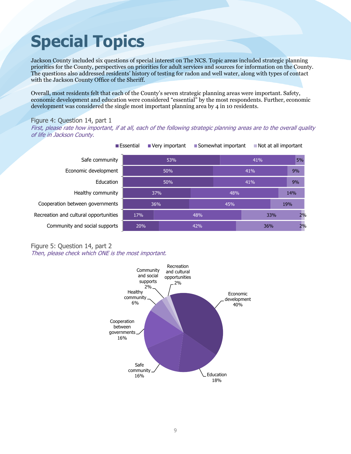# <span id="page-10-0"></span>**Special Topics**

Jackson County included six questions of special interest on The NCS. Topic areas included strategic planning priorities for the County, perspectives on priorities for adult services and sources for information on the County. The questions also addressed residents' history of testing for radon and well water, along with types of contact with the Jackson County Office of the Sheriff.

Overall, most residents felt that each of the County's seven strategic planning areas were important. Safety, economic development and education were considered "essential" by the most respondents. Further, economic development was considered the single most important planning area by 4 in 10 residents.

#### Figure 4: Question 14, part 1

First, please rate how important, if at all, each of the following strategic planning areas are to the overall quality of life in Jackson County.

| ■ Essential                           |     | Very important | ■ Somewhat important |     | Not at all important |  |     |  |
|---------------------------------------|-----|----------------|----------------------|-----|----------------------|--|-----|--|
| Safe community                        |     | 53%            |                      | 41% |                      |  | 5%  |  |
| Economic development                  |     | 50%            |                      | 41% |                      |  | 9%  |  |
| Education                             |     | 50%            |                      | 41% |                      |  | 9%  |  |
| Healthy community                     | 37% |                |                      | 48% |                      |  | 14% |  |
| Cooperation between governments       | 36% |                |                      | 45% |                      |  | 19% |  |
| Recreation and cultural opportunities | 17% |                | 48%                  |     | 33%                  |  | 2%  |  |
| Community and social supports         | 20% |                | 42%                  |     | 36%                  |  | 2%  |  |

#### Figure 5: Question 14, part 2 Then, please check which ONE is the most important.

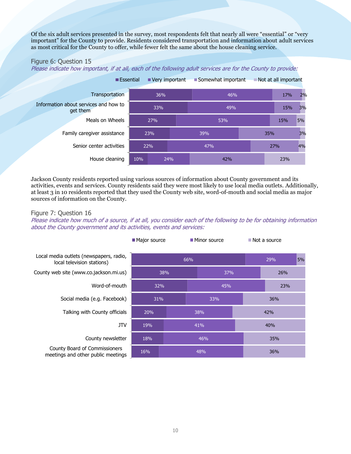Of the six adult services presented in the survey, most respondents felt that nearly all were "essential" or "very important" for the County to provide. Residents considered transportation and information about adult services as most critical for the County to offer, while fewer felt the same about the house cleaning service.

#### Figure 6: Question 15

Please indicate how important, if at all, each of the following adult services are for the County to provide:



Jackson County residents reported using various sources of information about County government and its activities, events and services. County residents said they were most likely to use local media outlets. Additionally, at least 3 in 10 residents reported that they used the County web site, word-of-mouth and social media as major sources of information on the County.

#### Figure 7: Question 16

Please indicate how much of a source, if at all, you consider each of the following to be for obtaining information about the County government and its activities, events and services:

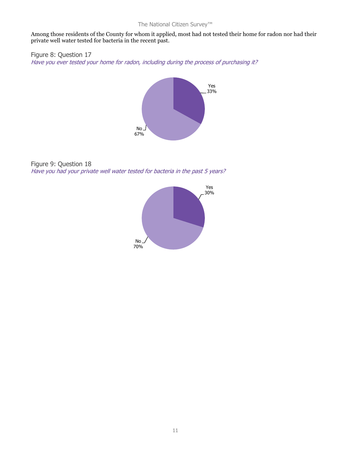### The National Citizen Survey™

Among those residents of the County for whom it applied, most had not tested their home for radon nor had their private well water tested for bacteria in the recent past.

Figure 8: Question 17 Have you ever tested your home for radon, including during the process of purchasing it?



Figure 9: Question 18 Have you had your private well water tested for bacteria in the past 5 years?

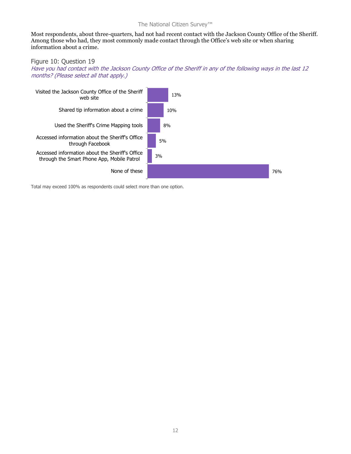#### The National Citizen Survey™

Most respondents, about three-quarters, had not had recent contact with the Jackson County Office of the Sheriff. Among those who had, they most commonly made contact through the Office's web site or when sharing information about a crime.

#### Figure 10: Question 19

Have you had contact with the Jackson County Office of the Sheriff in any of the following ways in the last 12 months? (Please select all that apply.)



Total may exceed 100% as respondents could select more than one option.